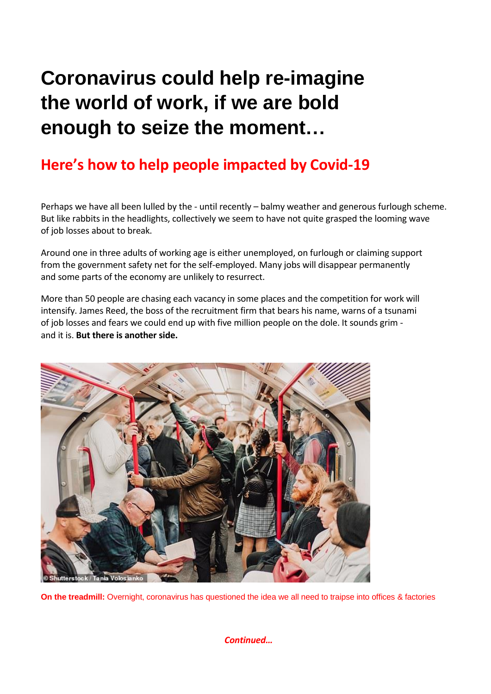## **Coronavirus could help re-imagine the world of work, if we are bold enough to seize the moment…**

## **[Here's how to help people impacted by Covid](https://www.dailymail.co.uk/covid-help)-19**

Perhaps we have all been lulled by the - until recently – balmy weather and generous furlough scheme. But like rabbits in the headlights, collectively we seem to have not quite grasped the looming wave of job losses about to break.

Around one in three adults of working age is either unemployed, on furlough or claiming support from the government safety net for the self-employed. Many jobs will disappear permanently and some parts of the economy are unlikely to resurrect.

More than 50 people are chasing each vacancy in some places and the competition for work will intensify. James Reed, the boss of the recruitment firm that bears his name, warns of a tsunami of job losses and fears we could end up with five million people on the dole. It sounds grim and it is. **But there is another side.**



**On the treadmill:** Overnight, coronavirus has questioned the idea we all need to traipse into offices & factories

*Continued…*